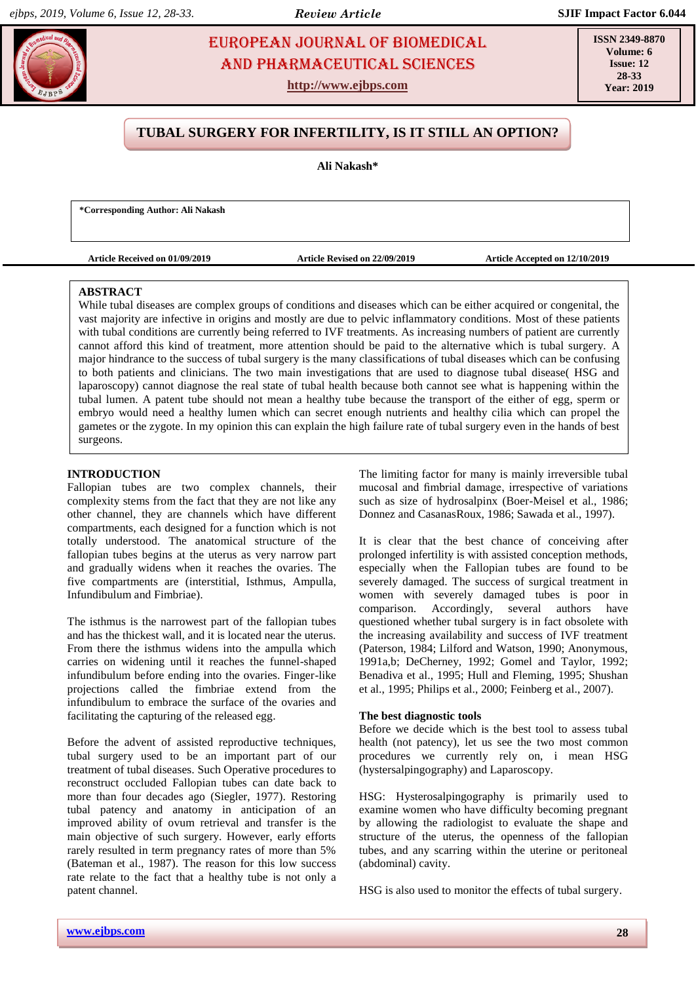# **Nakashara Properties EUROPEAN JOURNAL OF BIOMEDICAL SSN 23** AND Pharmaceutical sciences

**http://www.ejbps.com**

**ISSN 2349-8870 Volume: 6 Issue: 12 28-33 Year: 2019**

# **TUBAL SURGERY FOR INFERTILITY, IS IT STILL AN OPTION?**

**Ali Nakash\***

**\*Corresponding Author: Ali Nakash**

**Article Received on 01/09/2019 Article Revised on 22/09/2019 Article Accepted on 12/10/2019**

### **ABSTRACT**

While tubal diseases are complex groups of conditions and diseases which can be either acquired or congenital, the vast majority are infective in origins and mostly are due to pelvic inflammatory conditions. Most of these patients with tubal conditions are currently being referred to IVF treatments. As increasing numbers of patient are currently cannot afford this kind of treatment, more attention should be paid to the alternative which is tubal surgery. A major hindrance to the success of tubal surgery is the many classifications of tubal diseases which can be confusing to both patients and clinicians. The two main investigations that are used to diagnose tubal disease( HSG and laparoscopy) cannot diagnose the real state of tubal health because both cannot see what is happening within the tubal lumen. A patent tube should not mean a healthy tube because the transport of the either of egg, sperm or embryo would need a healthy lumen which can secret enough nutrients and healthy cilia which can propel the gametes or the zygote. In my opinion this can explain the high failure rate of tubal surgery even in the hands of best surgeons.

## **INTRODUCTION**

Fallopian tubes are two complex channels, their complexity stems from the fact that they are not like any other channel, they are channels which have different compartments, each designed for a function which is not totally understood. The anatomical structure of the fallopian tubes begins at the uterus as very narrow part and gradually widens when it reaches the ovaries. The five compartments are (interstitial, Isthmus, Ampulla, Infundibulum and Fimbriae).

The isthmus is the narrowest part of the fallopian tubes and has the thickest wall, and it is located near the uterus. From there the isthmus widens into the ampulla which carries on widening until it reaches the funnel-shaped infundibulum before ending into the ovaries. Finger-like projections called the fimbriae extend from the infundibulum to embrace the surface of the ovaries and facilitating the capturing of the released egg.

Before the advent of assisted reproductive techniques, tubal surgery used to be an important part of our treatment of tubal diseases. Such Operative procedures to reconstruct occluded Fallopian tubes can date back to more than four decades ago (Siegler, 1977). Restoring tubal patency and anatomy in anticipation of an improved ability of ovum retrieval and transfer is the main objective of such surgery. However, early efforts rarely resulted in term pregnancy rates of more than 5% (Bateman et al., 1987). The reason for this low success rate relate to the fact that a healthy tube is not only a patent channel.

The limiting factor for many is mainly irreversible tubal mucosal and fimbrial damage, irrespective of variations such as size of hydrosalpinx (Boer-Meisel et al., 1986; Donnez and CasanasRoux, 1986; Sawada et al., 1997).

It is clear that the best chance of conceiving after prolonged infertility is with assisted conception methods, especially when the Fallopian tubes are found to be severely damaged. The success of surgical treatment in women with severely damaged tubes is poor in comparison. Accordingly, several authors have questioned whether tubal surgery is in fact obsolete with the increasing availability and success of IVF treatment (Paterson, 1984; Lilford and Watson, 1990; Anonymous, 1991a,b; DeCherney, 1992; Gomel and Taylor, 1992; Benadiva et al., 1995; Hull and Fleming, 1995; Shushan et al., 1995; Philips et al., 2000; Feinberg et al., 2007).

#### **The best diagnostic tools**

Before we decide which is the best tool to assess tubal health (not patency), let us see the two most common procedures we currently rely on, i mean HSG (hystersalpingography) and Laparoscopy.

HSG: Hysterosalpingography is primarily used to examine women who have difficulty becoming pregnant by allowing the radiologist to evaluate the shape and structure of the uterus, the openness of the fallopian tubes, and any scarring within the uterine or peritoneal (abdominal) cavity.

HSG is also used to monitor the effects of tubal surgery.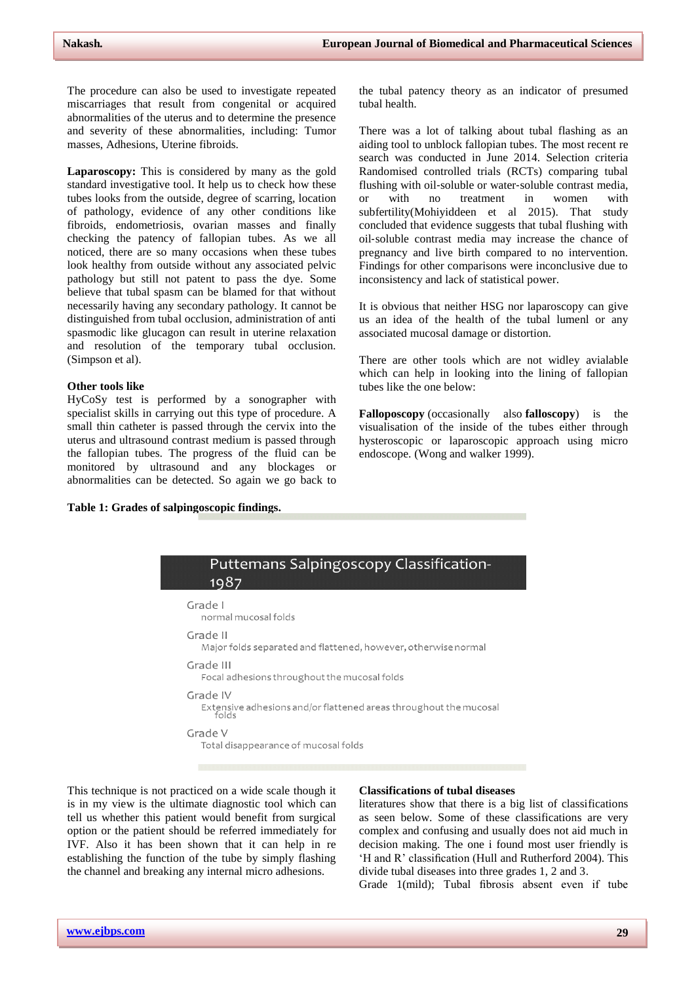The procedure can also be used to investigate repeated miscarriages that result from congenital or acquired abnormalities of the uterus and to determine the presence and severity of these abnormalities, including: Tumor masses, Adhesions, Uterine fibroids.

**Laparoscopy:** This is considered by many as the gold standard investigative tool. It help us to check how these tubes looks from the outside, degree of scarring, location of pathology, evidence of any other conditions like fibroids, endometriosis, ovarian masses and finally checking the patency of fallopian tubes. As we all noticed, there are so many occasions when these tubes look healthy from outside without any associated pelvic pathology but still not patent to pass the dye. Some believe that tubal spasm can be blamed for that without necessarily having any secondary pathology. It cannot be distinguished from tubal occlusion, administration of anti spasmodic like glucagon can result in uterine relaxation and resolution of the temporary tubal occlusion. (Simpson et al).

#### **Other tools like**

HyCoSy test is performed by a sonographer with specialist skills in carrying out this type of procedure. A small thin catheter is passed through the cervix into the uterus and ultrasound contrast medium is passed through the fallopian tubes. The progress of the fluid can be monitored by ultrasound and any blockages or abnormalities can be detected. So again we go back to

the tubal patency theory as an indicator of presumed tubal health.

There was a lot of talking about tubal flashing as an aiding tool to unblock fallopian tubes. The most recent re search was conducted in June 2014. Selection criteria Randomised controlled trials (RCTs) comparing tubal flushing with oil‐soluble or water‐soluble contrast media, or with no treatment in women with subfertility(Mohiyiddeen et al 2015). That study concluded that evidence suggests that tubal flushing with oil‐soluble contrast media may increase the chance of pregnancy and live birth compared to no intervention. Findings for other comparisons were inconclusive due to inconsistency and lack of statistical power.

It is obvious that neither HSG nor laparoscopy can give us an idea of the health of the tubal lumenl or any associated mucosal damage or distortion.

There are other tools which are not widley avialable which can help in looking into the lining of fallopian tubes like the one below:

**Falloposcopy** (occasionally also **falloscopy**) is the visualisation of the inside of the tubes either through hysteroscopic or laparoscopic approach using micro endoscope. (Wong and walker 1999).

**Table 1: Grades of salpingoscopic findings.**



This technique is not practiced on a wide scale though it is in my view is the ultimate diagnostic tool which can tell us whether this patient would benefit from surgical option or the patient should be referred immediately for IVF. Also it has been shown that it can help in re establishing the function of the tube by simply flashing the channel and breaking any internal micro adhesions.

#### **Classifications of tubal diseases**

literatures show that there is a big list of classifications as seen below. Some of these classifications are very complex and confusing and usually does not aid much in decision making. The one i found most user friendly is 'H and R' classification (Hull and Rutherford 2004). This divide tubal diseases into three grades 1, 2 and 3.

Grade 1(mild); Tubal fibrosis absent even if tube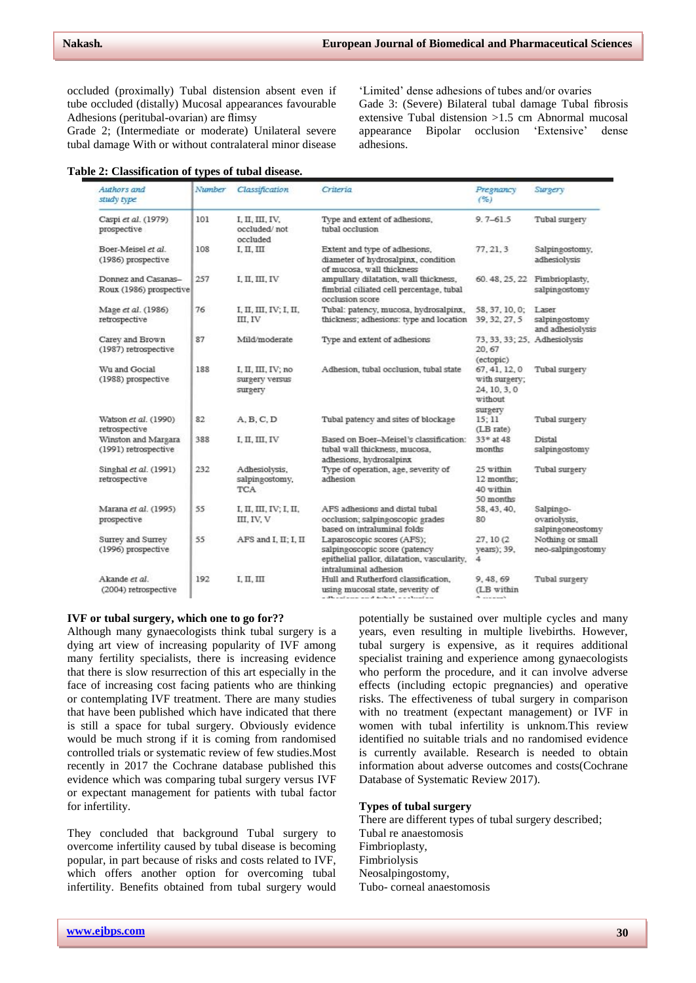occluded (proximally) Tubal distension absent even if tube occluded (distally) Mucosal appearances favourable Adhesions (peritubal-ovarian) are flimsy

Grade 2; (Intermediate or moderate) Unilateral severe tubal damage With or without contralateral minor disease

|  | Table 2: Classification of types of tubal disease. |  |  |  |
|--|----------------------------------------------------|--|--|--|
|--|----------------------------------------------------|--|--|--|

'Limited' dense adhesions of tubes and/or ovaries Gade 3: (Severe) Bilateral tubal damage Tubal fibrosis extensive Tubal distension >1.5 cm Abnormal mucosal appearance Bipolar occlusion 'Extensive' dense adhesions.

| Authors and<br>study type                      | Number | Classification                                  | Criteria                                                                                                                            | Pregnancy<br>(%)                                                     | Surgery                                       |
|------------------------------------------------|--------|-------------------------------------------------|-------------------------------------------------------------------------------------------------------------------------------------|----------------------------------------------------------------------|-----------------------------------------------|
| Caspi et al. (1979)<br>prospective             | 101    | I, II, III, IV,<br>occluded/not<br>occluded     | Type and extent of adhesions,<br>tubal occlusion                                                                                    | $9.7 - 61.5$                                                         | Tubal surgery                                 |
| Boer-Meisel et al.<br>(1986) prospective       | 108    | I, П, Ш                                         | Extent and type of adhesions,<br>diameter of hydrosalpinx, condition<br>of mucosa, wall thickness                                   | 77, 21, 3                                                            | Salpingostomy,<br>adhesiolysis                |
| Donnez and Casanas-<br>Roux (1986) prospective | 257    | I, II, III, IV                                  | ampullary dilatation, wall thickness,<br>fimbrial ciliated cell percentage, tubal<br>occlusion score                                |                                                                      | 60.48, 25, 22 Fimbrioplasty,<br>salpingostomy |
| Mage et al. (1986)<br>retrospective            | 76     | I, II, III, IV; I, II,<br>III. IV               | Tubal: patency, mucosa, hydrosalpinx,<br>thickness; adhesions: type and location                                                    | 58, 37, 10, 0; Laser<br>39, 32, 27, 5                                | salpingostomy<br>and adhesiolysis             |
| Carey and Brown<br>(1987) retrospective        | 87     | Mild/moderate                                   | Type and extent of adhesions                                                                                                        | 73, 33, 33; 25, Adhesiolysis<br>20, 67<br>(ectopic)                  |                                               |
| Wu and Gocial<br>(1988) prospective            | 188    | I, II, III, IV; no<br>surgery versus<br>surgery | Adhesion, tubal occlusion, tubal state                                                                                              | 67, 41, 12, 0<br>with surgery;<br>24, 10, 3, 0<br>without<br>surgery | Tubal surgery                                 |
| Watson et al. (1990)<br>retrospective          | 82     | A, B, C, D                                      | Tubal patency and sites of blockage                                                                                                 | 15:11<br>(LB rate)                                                   | Tubal surgery                                 |
| Winston and Margara<br>(1991) retrospective    | 388    | I, II, III, IV                                  | Based on Boer-Meisel's classification:<br>tubal wall thickness, mucosa,<br>adhesions, hydrosalpinx                                  | 33* at 48<br>months                                                  | Distal<br>salpingostomy                       |
| Singhal et al. (1991)<br>retrospective         | 232    | Adhesiolysis,<br>salpingostomy,<br>TCA          | Type of operation, age, severity of<br>adhesion                                                                                     | 25 within<br>12 months;<br>40 within<br>50 months                    | Tubal surgery                                 |
| Marana et al. (1995)<br>prospective            | 55     | I, II, III, IV; I, II,<br>III, IV, V            | AFS adhesions and distal tubal<br>occlusion; salpingoscopic grades<br>based on intraluminal folds                                   | 58, 43, 40,<br>80                                                    | Salpingo-<br>ovariolysis,<br>salpingoneostomy |
| Surrey and Surrey<br>(1996) prospective        | 55     | AFS and I, II; I, II                            | Laparoscopic scores (AFS);<br>salpingoscopic score (patency<br>epithelial pallor, dilatation, vascularity,<br>intraluminal adhesion | 27, 10 (2)<br>years); 39,<br>4                                       | Nothing or small<br>neo-salpingostomy         |
| Akande et al.<br>(2004) retrospective          | 192    | I, II, III                                      | Hull and Rutherford classification,<br>using mucosal state, severity of<br>a dheestama an dhabat a colonia                          | 9, 48, 69<br>(LB within<br>$k = 1$                                   | Tubal surgery                                 |

### **IVF or tubal surgery, which one to go for??**

Although many gynaecologists think tubal surgery is a dying art view of increasing popularity of IVF among many fertility specialists, there is increasing evidence that there is slow resurrection of this art especially in the face of increasing cost facing patients who are thinking or contemplating IVF treatment. There are many studies that have been published which have indicated that there is still a space for tubal surgery. Obviously evidence would be much strong if it is coming from randomised controlled trials or systematic review of few studies.Most recently in 2017 the Cochrane database published this evidence which was comparing tubal surgery versus IVF or expectant management for patients with tubal factor for infertility.

They concluded that background Tubal surgery to overcome infertility caused by tubal disease is becoming popular, in part because of risks and costs related to IVF, which offers another option for overcoming tubal infertility. Benefits obtained from tubal surgery would

potentially be sustained over multiple cycles and many years, even resulting in multiple livebirths. However, tubal surgery is expensive, as it requires additional specialist training and experience among gynaecologists who perform the procedure, and it can involve adverse effects (including ectopic pregnancies) and operative risks. The effectiveness of tubal surgery in comparison with no treatment (expectant management) or IVF in women with tubal infertility is unknom.This review identified no suitable trials and no randomised evidence is currently available. Research is needed to obtain information about adverse outcomes and costs(Cochrane Database of Systematic Review 2017).

### **Types of tubal surgery**

There are different types of tubal surgery described; Tubal re anaestomosis Fimbrioplasty, Fimbriolysis Neosalpingostomy, Tubo- corneal anaestomosis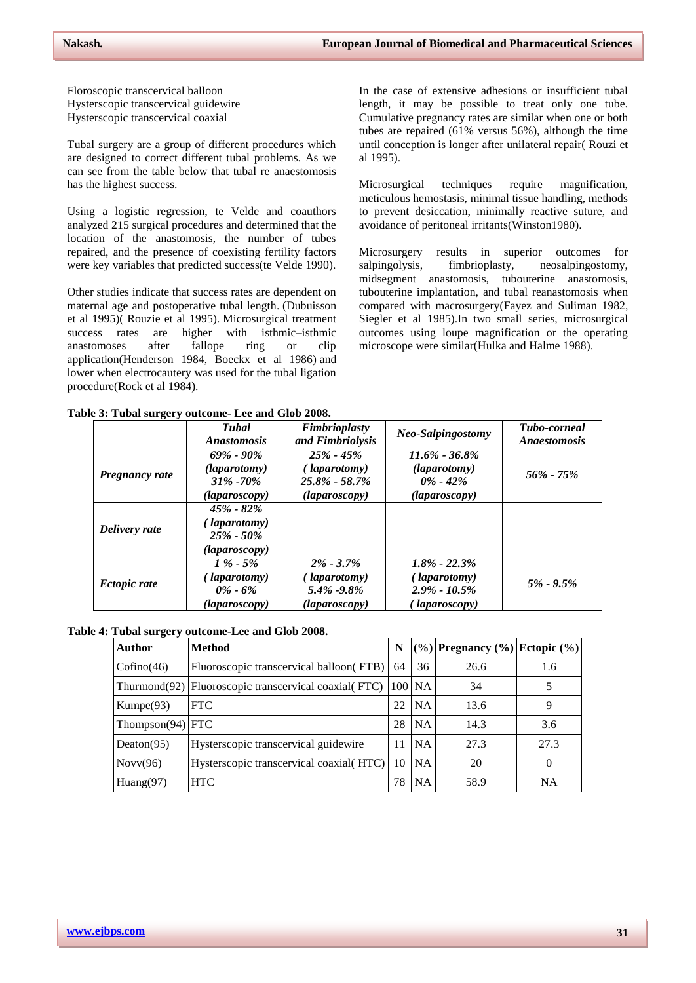Floroscopic transcervical balloon Hysterscopic transcervical guidewire Hysterscopic transcervical coaxial

Tubal surgery are a group of different procedures which are designed to correct different tubal problems. As we can see from the table below that tubal re anaestomosis has the highest success.

Using a logistic regression, te Velde and coauthors analyzed 215 surgical procedures and determined that the location of the anastomosis, the number of tubes repaired, and the presence of coexisting fertility factors were key variables that predicted success(te Velde 1990).

Other studies indicate that success rates are dependent on maternal age and postoperative tubal length. (Dubuisson et al 1995)( Rouzie et al 1995). Microsurgical treatment success rates are higher with isthmic–isthmic anastomoses after fallope ring or clip application(Henderson 1984, Boeckx et al 1986) and lower when electrocautery was used for the tubal ligation procedure(Rock et al 1984).

In the case of extensive adhesions or insufficient tubal length, it may be possible to treat only one tube. Cumulative pregnancy rates are similar when one or both tubes are repaired (61% versus 56%), although the time until conception is longer after unilateral repair( Rouzi et al 1995).

Microsurgical techniques require magnification, meticulous hemostasis, minimal tissue handling, methods to prevent desiccation, minimally reactive suture, and avoidance of peritoneal irritants(Winston1980).

Microsurgery results in superior outcomes for salpingolysis, fimbrioplasty, neosalpingostomy, midsegment anastomosis, tubouterine anastomosis, tubouterine implantation, and tubal reanastomosis when compared with macrosurgery(Fayez and Suliman 1982, Siegler et al 1985).In two small series, microsurgical outcomes using loupe magnification or the operating microscope were similar(Hulka and Halme 1988).

**Table 3: Tubal surgery outcome- Lee and Glob 2008.**

|                     | Tubal<br><i>Anastomosis</i>                                       | Fimbrioplasty<br>and Fimbriolysis                                            | Neo-Salpingostomy                                                           | <b>Tubo-corneal</b><br><i>Anaestomosis</i> |
|---------------------|-------------------------------------------------------------------|------------------------------------------------------------------------------|-----------------------------------------------------------------------------|--------------------------------------------|
| Pregnancy rate      | $69\%$ - $90\%$<br>(laparotomy)<br>$31\% - 70\%$<br>(laparoscopy) | $25\% - 45\%$<br>( <i>laparotomy</i> )<br>$25.8\% - 58.7\%$<br>(laparoscopy) | $11.6\% - 36.8\%$<br>( <i>laparotomy</i> )<br>$0\%$ - 42%<br>(laparoscopy)  | $56\% - 75\%$                              |
| Delivery rate       | $45\% - 82\%$<br>(laparotomy)<br>$25\% - 50\%$<br>(laparoscopy)   |                                                                              |                                                                             |                                            |
| <b>Ectopic rate</b> | $1\% - 5\%$<br>(laparotomy)<br>$0\%$ - 6%<br>(laparoscopy)        | $2\% - 3.7\%$<br>(laparotomy)<br>$5.4\%$ -9.8%<br>(laparoscopy)              | $1.8\%$ - 22.3%<br>(laparotomy)<br>$2.9\% - 10.5\%$<br>( <i>laparoscopy</i> | $5\% - 9.5\%$                              |

**Table 4: Tubal surgery outcome-Lee and Glob 2008.**

| <b>Author</b>      | <b>Method</b>                                                         | N  |           | $(\%)$ Pregnancy $(\%)$ Ectopic $(\%)$ |           |
|--------------------|-----------------------------------------------------------------------|----|-----------|----------------------------------------|-----------|
| Cofino(46)         | Fluoroscopic transcervical balloon(FTB)                               | 64 | 36        | 26.6                                   | 1.6       |
|                    | Thurmond(92)   Fluoroscopic transcervical coaxial( $FTC$ )   100   NA |    |           | 34                                     |           |
| Kumpe(93)          | <b>FTC</b>                                                            | 22 | <b>NA</b> | 13.6                                   | 9         |
| $Thompson(94)$ FTC |                                                                       | 28 | <b>NA</b> | 14.3                                   | 3.6       |
| Deaton( $95$ )     | Hysterscopic transcervical guidewire                                  | 11 | NA.       | 27.3                                   | 27.3      |
| Novv(96)           | Hysterscopic transcervical coaxial (HTC)                              | 10 | <b>NA</b> | 20                                     | $\Omega$  |
| Huang $(97)$       | <b>HTC</b>                                                            | 78 | <b>NA</b> | 58.9                                   | <b>NA</b> |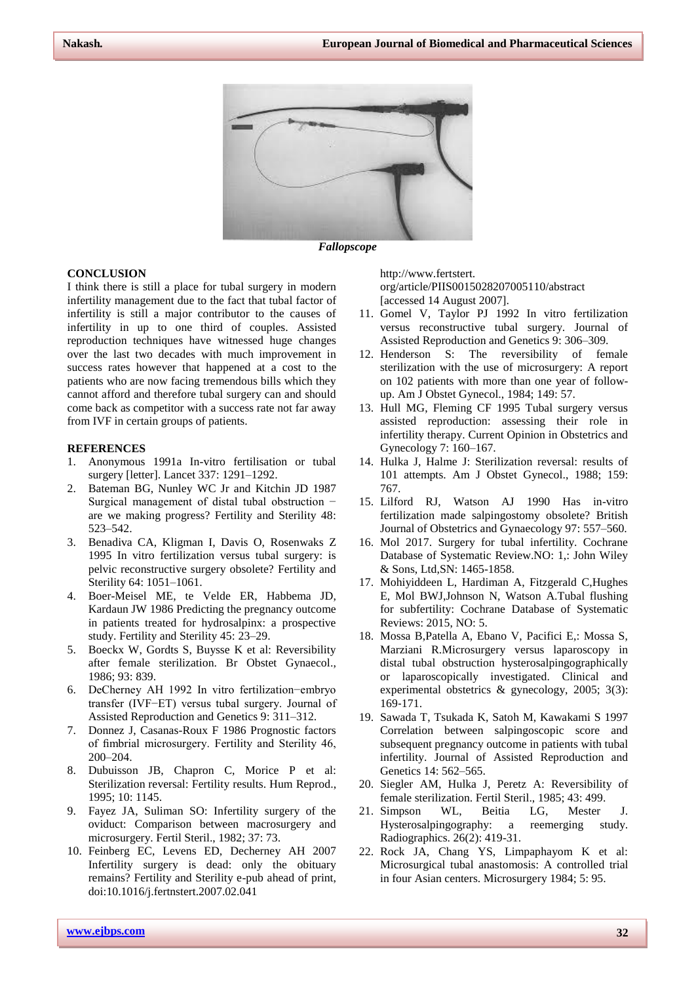

*Fallopscope*

### **CONCLUSION**

I think there is still a place for tubal surgery in modern infertility management due to the fact that tubal factor of infertility is still a major contributor to the causes of infertility in up to one third of couples. Assisted reproduction techniques have witnessed huge changes over the last two decades with much improvement in success rates however that happened at a cost to the patients who are now facing tremendous bills which they cannot afford and therefore tubal surgery can and should come back as competitor with a success rate not far away from IVF in certain groups of patients.

#### **REFERENCES**

- 1. Anonymous 1991a In-vitro fertilisation or tubal surgery [letter]. Lancet 337: 1291–1292.
- 2. Bateman BG, Nunley WC Jr and Kitchin JD 1987 Surgical management of distal tubal obstruction − are we making progress? Fertility and Sterility 48: 523–542.
- 3. Benadiva CA, Kligman I, Davis O, Rosenwaks Z 1995 In vitro fertilization versus tubal surgery: is pelvic reconstructive surgery obsolete? Fertility and Sterility 64: 1051–1061.
- 4. Boer-Meisel ME, te Velde ER, Habbema JD, Kardaun JW 1986 Predicting the pregnancy outcome in patients treated for hydrosalpinx: a prospective study. Fertility and Sterility 45: 23–29.
- 5. Boeckx W, Gordts S, Buysse K et al: Reversibility after female sterilization. Br Obstet Gynaecol., 1986; 93: 839.
- 6. DeCherney AH 1992 In vitro fertilization−embryo transfer (IVF−ET) versus tubal surgery. Journal of Assisted Reproduction and Genetics 9: 311–312.
- 7. Donnez J, Casanas-Roux F 1986 Prognostic factors of fimbrial microsurgery. Fertility and Sterility 46, 200–204.
- 8. Dubuisson JB, Chapron C, Morice P et al: Sterilization reversal: Fertility results. Hum Reprod., 1995; 10: 1145.
- 9. Fayez JA, Suliman SO: Infertility surgery of the oviduct: Comparison between macrosurgery and microsurgery. Fertil Steril., 1982; 37: 73.
- 10. Feinberg EC, Levens ED, Decherney AH 2007 Infertility surgery is dead: only the obituary remains? Fertility and Sterility e-pub ahead of print, doi:10.1016/j.fertnstert.2007.02.041

http://www.fertstert. org/article/PIIS0015028207005110/abstract [accessed 14 August 2007].

- 11. Gomel V, Taylor PJ 1992 In vitro fertilization versus reconstructive tubal surgery. Journal of Assisted Reproduction and Genetics 9: 306–309.
- 12. Henderson S: The reversibility of female sterilization with the use of microsurgery: A report on 102 patients with more than one year of followup. Am J Obstet Gynecol., 1984; 149: 57.
- 13. Hull MG, Fleming CF 1995 Tubal surgery versus assisted reproduction: assessing their role in infertility therapy. Current Opinion in Obstetrics and Gynecology 7: 160–167.
- 14. Hulka J, Halme J: Sterilization reversal: results of 101 attempts. Am J Obstet Gynecol., 1988; 159: 767.
- 15. Lilford RJ, Watson AJ 1990 Has in-vitro fertilization made salpingostomy obsolete? British Journal of Obstetrics and Gynaecology 97: 557–560.
- 16. Mol 2017. Surgery for tubal infertility. Cochrane Database of Systematic Review.NO: 1,: John Wiley & Sons, Ltd,SN: 1465-1858.
- 17. Mohiyiddeen L, Hardiman A, Fitzgerald C,Hughes E, Mol BWJ,Johnson N, Watson A.Tubal flushing for subfertility: Cochrane Database of Systematic Reviews: 2015, NO: 5.
- 18. Mossa B,Patella A, Ebano V, Pacifici E,: Mossa S, Marziani R.Microsurgery versus laparoscopy in distal tubal obstruction hysterosalpingographically or laparoscopically investigated. Clinical and experimental obstetrics & gynecology, 2005; 3(3): 169‐171.
- 19. Sawada T, Tsukada K, Satoh M, Kawakami S 1997 Correlation between salpingoscopic score and subsequent pregnancy outcome in patients with tubal infertility. Journal of Assisted Reproduction and Genetics 14: 562–565.
- 20. Siegler AM, Hulka J, Peretz A: Reversibility of female sterilization. Fertil Steril., 1985; 43: 499.
- 21. Simpson WL, Beitia LG, Mester J. Hysterosalpingography: a reemerging study. Radiographics. 26(2): 419-31.
- 22. Rock JA, Chang YS, Limpaphayom K et al: Microsurgical tubal anastomosis: A controlled trial in four Asian centers. Microsurgery 1984; 5: 95.